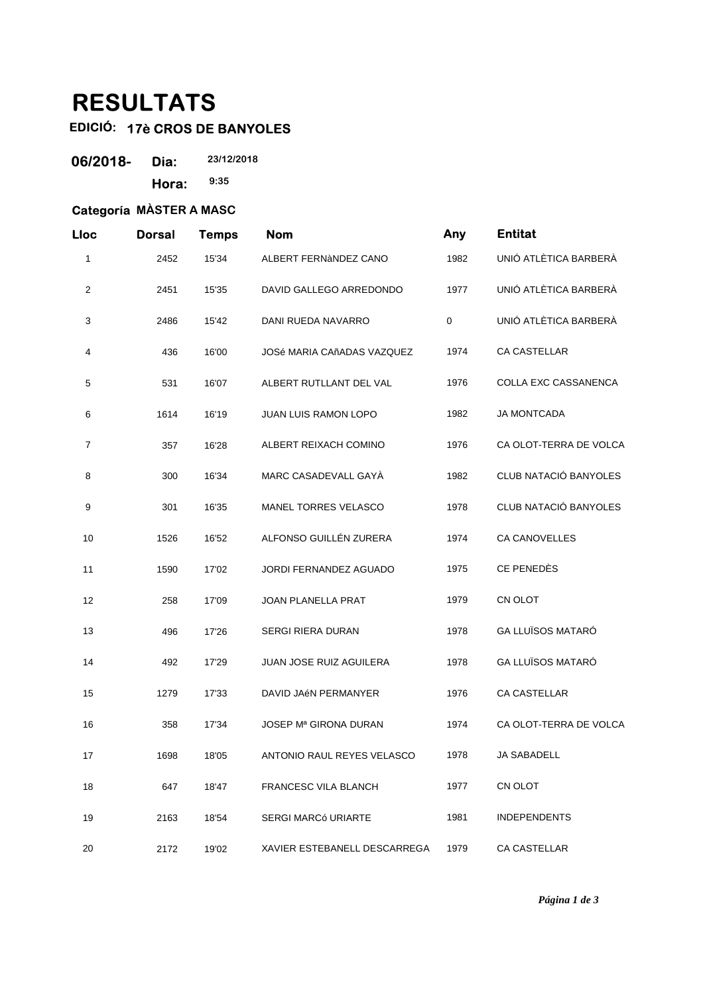## **RESULTATS**

## **EDICIÓ: 17è CROS DE BANYOLES**

| 06/2018- | Dia:  | 23/12/2018 |  |
|----------|-------|------------|--|
|          | Hora: | 9:35       |  |

## **Categoría MÀSTER A MASC**

| Lloc           | <b>Dorsal</b> | <b>Temps</b> | <b>Nom</b>                        | Any         | <b>Entitat</b>               |
|----------------|---------------|--------------|-----------------------------------|-------------|------------------------------|
| 1              | 2452          | 15'34        | ALBERT FERNANDEZ CANO             | 1982        | UNIÓ ATLÈTICA BARBERÀ        |
| $\overline{c}$ | 2451          | 15'35        | DAVID GALLEGO ARREDONDO           | 1977        | UNIÓ ATLÈTICA BARBERÀ        |
| 3              | 2486          | 15'42        | DANI RUEDA NAVARRO                | $\mathbf 0$ | UNIÓ ATLÈTICA BARBERÀ        |
| 4              | 436           | 16'00        | <b>JOSé MARIA CAñADAS VAZQUEZ</b> | 1974        | <b>CA CASTELLAR</b>          |
| 5              | 531           | 16'07        | ALBERT RUTLLANT DEL VAL           | 1976        | COLLA EXC CASSANENCA         |
| 6              | 1614          | 16'19        | JUAN LUIS RAMON LOPO              | 1982        | <b>JA MONTCADA</b>           |
| $\overline{7}$ | 357           | 16'28        | ALBERT REIXACH COMINO             | 1976        | CA OLOT-TERRA DE VOLCA       |
| 8              | 300           | 16'34        | MARC CASADEVALL GAYA              | 1982        | CLUB NATACIÓ BANYOLES        |
| 9              | 301           | 16'35        | <b>MANEL TORRES VELASCO</b>       | 1978        | <b>CLUB NATACIÓ BANYOLES</b> |
| 10             | 1526          | 16'52        | ALFONSO GUILLÉN ZURERA            | 1974        | <b>CA CANOVELLES</b>         |
| 11             | 1590          | 17'02        | JORDI FERNANDEZ AGUADO            | 1975        | CE PENEDÈS                   |
| 12             | 258           | 17'09        | JOAN PLANELLA PRAT                | 1979        | CN OLOT                      |
| 13             | 496           | 17'26        | SERGI RIERA DURAN                 | 1978        | <b>GA LLUÏSOS MATARÓ</b>     |
| 14             | 492           | 17'29        | JUAN JOSE RUIZ AGUILERA           | 1978        | <b>GA LLUÏSOS MATARÓ</b>     |
| 15             | 1279          | 17'33        | DAVID JAéN PERMANYER              | 1976        | <b>CA CASTELLAR</b>          |
| 16             | 358           | 17'34        | <b>JOSEP Mª GIRONA DURAN</b>      | 1974        | CA OLOT-TERRA DE VOLCA       |
| 17             | 1698          | 18'05        | ANTONIO RAUL REYES VELASCO        | 1978        | JA SABADELL                  |
| 18             | 647           | 18'47        | FRANCESC VILA BLANCH              | 1977        | CN OLOT                      |
| 19             | 2163          | 18'54        | <b>SERGI MARCó URIARTE</b>        | 1981        | <b>INDEPENDENTS</b>          |
| 20             | 2172          | 19'02        | XAVIER ESTEBANELL DESCARREGA      | 1979        | CA CASTELLAR                 |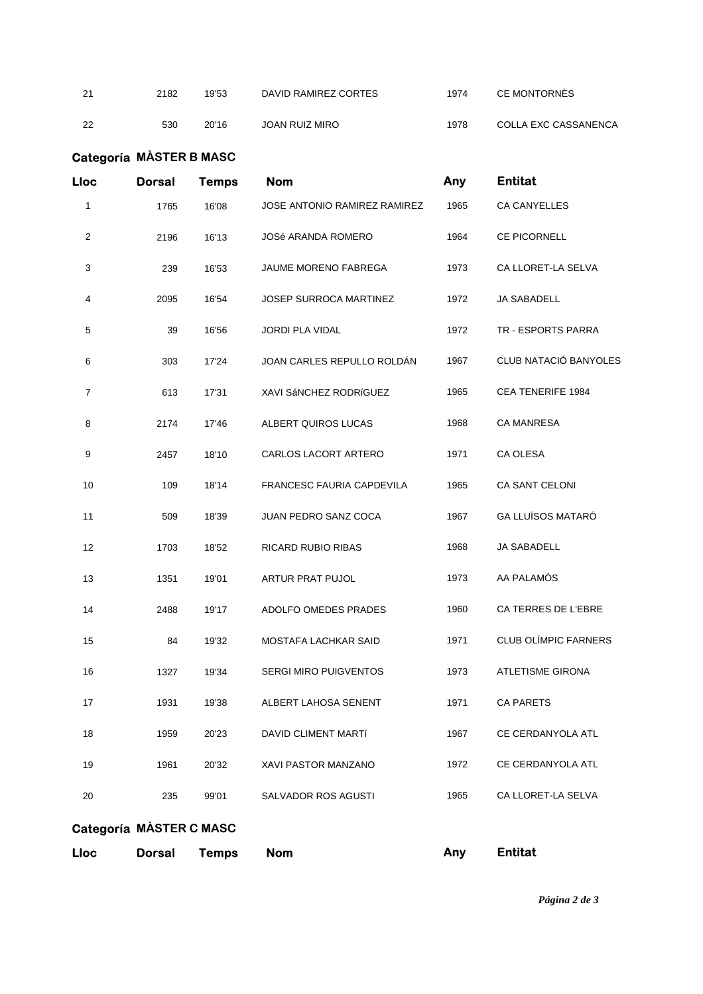21 2182 19'53 DAVID RAMIREZ CORTES 1974 CE MONTORNÈS 22 530 20'16 JOAN RUIZ MIRO 1978 COLLA EXC CASSANENCA

## **Categoría MÀSTER B MASC Lloc Dorsal Temps Nom Any Entitat** 1 1765 16'08 JOSE ANTONIO RAMIREZ RAMIREZ 1965 CA CANYELLES 2 2196 16'13 JOSé ARANDA ROMERO 1964 CE PICORNELL 3 239 16'53 JAUME MORENO FABREGA 1973 CA LLORET-LA SELVA 4 2095 16'54 JOSEP SURROCA MARTINEZ 1972 JA SABADELL 5 39 16'56 JORDI PLA VIDAL 1972 TR - ESPORTS PARRA 6 303 17'24 JOAN CARLES REPULLO ROLDÁN 1967 CLUB NATACIÓ BANYOLES 7 613 17'31 XAVI SáNCHEZ RODRíGUEZ 1965 CEA TENERIFE 1984 8 2174 17'46 ALBERT QUIROS LUCAS 1968 CA MANRESA 9 2457 18'10 CARLOS LACORT ARTERO 1971 CA OLESA 10 109 18'14 FRANCESC FAURIA CAPDEVILA 1965 CA SANT CELONI 11 509 18'39 JUAN PEDRO SANZ COCA 1967 GA LLUÏSOS MATARÓ 12 1703 18'52 RICARD RUBIO RIBAS 1968 JA SABADELL 13 1351 19'01 ARTUR PRAT PUJOL 1973 AA PALAMÓS 14 2488 19'17 ADOLFO OMEDES PRADES 1960 CA TERRES DE L'EBRE 15 84 19'32 MOSTAFA LACHKAR SAID 1971 CLUB OLÍMPIC FARNERS 16 1327 19'34 SERGI MIRO PUIGVENTOS 1973 ATLETISME GIRONA 17 1931 19'38 ALBERT LAHOSA SENENT 1971 CA PARETS 18 1959 20'23 DAVID CLIMENT MARTí 1967 CE CERDANYOLA ATL 19 1961 20'32 XAVI PASTOR MANZANO 1972 CE CERDANYOLA ATL 20 235 99'01 SALVADOR ROS AGUSTI 1965 CA LLORET-LA SELVA

**Categoría MÀSTER C MASC**

**Lloc Dorsal Temps Nom Any Entitat**